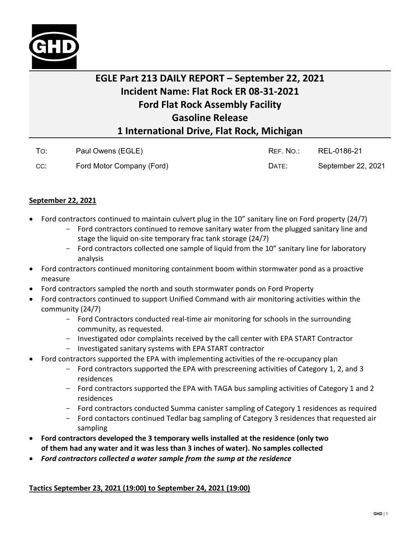

## **EGLE Part 213 DAILY REPORT – September 22, 2021 Incident Name: Flat Rock ER 08-31-2021 Ford Flat Rock Assembly Facility Gasoline Release 1 International Drive, Flat Rock, Michigan**

| To: | Paul Owens (EGLE)         | REF. NO.: | REL-0186-21        |
|-----|---------------------------|-----------|--------------------|
| CC: | Ford Motor Company (Ford) | DATE:     | September 22, 2021 |

## **September 22, 2021**

- Ford contractors continued to maintain culvert plug in the 10" sanitary line on Ford property (24/7)
	- Ford contractors continued to remove sanitary water from the plugged sanitary line and stage the liquid on-site temporary frac tank storage (24/7)
	- Ford contractors collected one sample of liquid from the 10" sanitary line for laboratory analysis
- Ford contractors continued monitoring containment boom within stormwater pond as a proactive measure
- Ford contractors sampled the north and south stormwater ponds on Ford Property
- Ford contractors continued to support Unified Command with air monitoring activities within the community (24/7)
	- Ford Contractors conducted real-time air monitoring for schools in the surrounding community, as requested.
	- Investigated odor complaints received by the call center with EPA START Contractor
	- Investigated sanitary systems with EPA START contractor
- Ford contractors supported the EPA with implementing activities of the re-occupancy plan
	- Ford contractors supported the EPA with prescreening activities of Category 1, 2, and 3 residences
	- Ford contractors supported the EPA with TAGA bus sampling activities of Category 1 and 2 residences
	- Ford contractors conducted Summa canister sampling of Category 1 residences as required
	- Ford contactors continued Tedlar bag sampling of Category 3 residences that requested air sampling
- **Ford contractors developed the 3 temporary wells installed at the residence (only two of them had any water and it was less than 3 inches of water). No samples collected**
- *Ford contractors collected a water sample from the sump at the residence*

## **Tactics September 23, 2021 (19:00) to September 24, 2021 (19:00)**